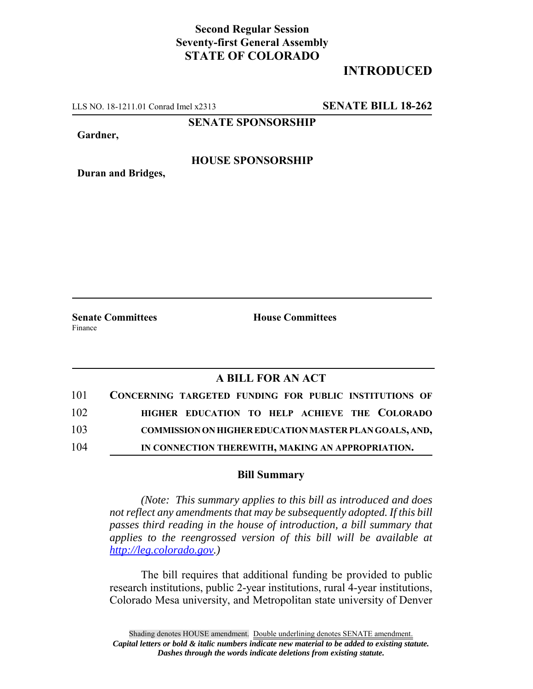## **Second Regular Session Seventy-first General Assembly STATE OF COLORADO**

# **INTRODUCED**

LLS NO. 18-1211.01 Conrad Imel x2313 **SENATE BILL 18-262**

**SENATE SPONSORSHIP**

**Gardner,**

### **HOUSE SPONSORSHIP**

**Duran and Bridges,**

Finance

**Senate Committees House Committees** 

### **A BILL FOR AN ACT**

| 101 | CONCERNING TARGETED FUNDING FOR PUBLIC INSTITUTIONS OF        |
|-----|---------------------------------------------------------------|
| 102 | HIGHER EDUCATION TO HELP ACHIEVE THE COLORADO                 |
| 103 | <b>COMMISSION ON HIGHER EDUCATION MASTER PLAN GOALS, AND,</b> |
| 104 | IN CONNECTION THEREWITH, MAKING AN APPROPRIATION.             |

#### **Bill Summary**

*(Note: This summary applies to this bill as introduced and does not reflect any amendments that may be subsequently adopted. If this bill passes third reading in the house of introduction, a bill summary that applies to the reengrossed version of this bill will be available at http://leg.colorado.gov.)*

The bill requires that additional funding be provided to public research institutions, public 2-year institutions, rural 4-year institutions, Colorado Mesa university, and Metropolitan state university of Denver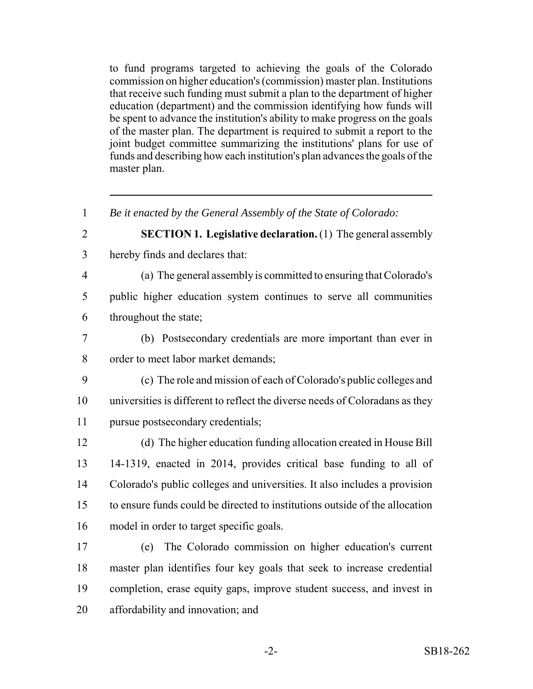to fund programs targeted to achieving the goals of the Colorado commission on higher education's (commission) master plan. Institutions that receive such funding must submit a plan to the department of higher education (department) and the commission identifying how funds will be spent to advance the institution's ability to make progress on the goals of the master plan. The department is required to submit a report to the joint budget committee summarizing the institutions' plans for use of funds and describing how each institution's plan advances the goals of the master plan.

 *Be it enacted by the General Assembly of the State of Colorado:* **SECTION 1. Legislative declaration.** (1) The general assembly hereby finds and declares that: (a) The general assembly is committed to ensuring that Colorado's public higher education system continues to serve all communities throughout the state; (b) Postsecondary credentials are more important than ever in order to meet labor market demands; (c) The role and mission of each of Colorado's public colleges and universities is different to reflect the diverse needs of Coloradans as they pursue postsecondary credentials; (d) The higher education funding allocation created in House Bill 14-1319, enacted in 2014, provides critical base funding to all of Colorado's public colleges and universities. It also includes a provision to ensure funds could be directed to institutions outside of the allocation model in order to target specific goals. (e) The Colorado commission on higher education's current master plan identifies four key goals that seek to increase credential completion, erase equity gaps, improve student success, and invest in

affordability and innovation; and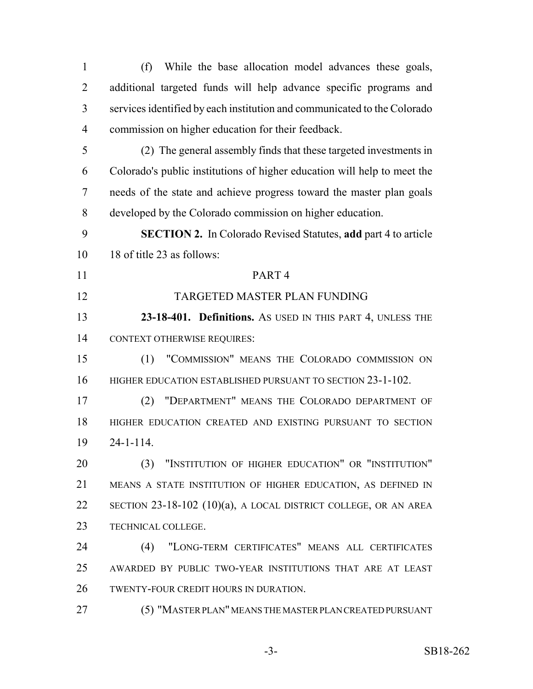(f) While the base allocation model advances these goals, additional targeted funds will help advance specific programs and services identified by each institution and communicated to the Colorado commission on higher education for their feedback. (2) The general assembly finds that these targeted investments in Colorado's public institutions of higher education will help to meet the needs of the state and achieve progress toward the master plan goals developed by the Colorado commission on higher education. **SECTION 2.** In Colorado Revised Statutes, **add** part 4 to article 18 of title 23 as follows: PART 4 TARGETED MASTER PLAN FUNDING **23-18-401. Definitions.** AS USED IN THIS PART 4, UNLESS THE CONTEXT OTHERWISE REQUIRES: (1) "COMMISSION" MEANS THE COLORADO COMMISSION ON 16 HIGHER EDUCATION ESTABLISHED PURSUANT TO SECTION 23-1-102. (2) "DEPARTMENT" MEANS THE COLORADO DEPARTMENT OF HIGHER EDUCATION CREATED AND EXISTING PURSUANT TO SECTION 24-1-114. (3) "INSTITUTION OF HIGHER EDUCATION" OR "INSTITUTION" MEANS A STATE INSTITUTION OF HIGHER EDUCATION, AS DEFINED IN SECTION 23-18-102 (10)(a), A LOCAL DISTRICT COLLEGE, OR AN AREA TECHNICAL COLLEGE. (4) "LONG-TERM CERTIFICATES" MEANS ALL CERTIFICATES AWARDED BY PUBLIC TWO-YEAR INSTITUTIONS THAT ARE AT LEAST TWENTY-FOUR CREDIT HOURS IN DURATION. (5) "MASTER PLAN" MEANS THE MASTER PLAN CREATED PURSUANT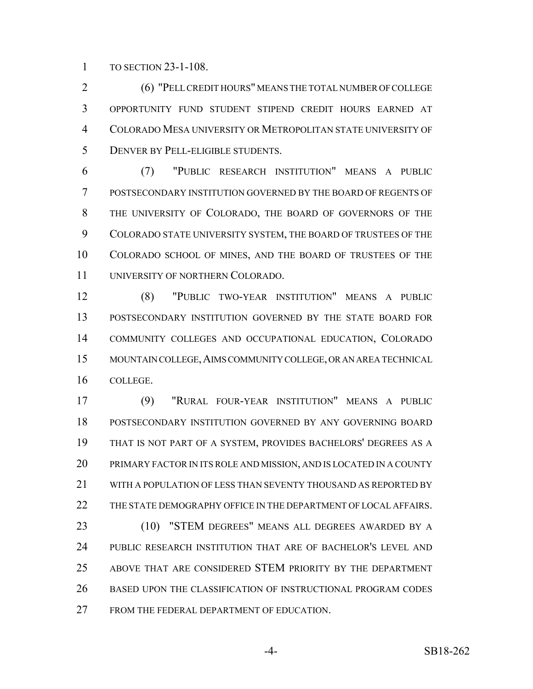TO SECTION 23-1-108.

 (6) "PELL CREDIT HOURS" MEANS THE TOTAL NUMBER OF COLLEGE OPPORTUNITY FUND STUDENT STIPEND CREDIT HOURS EARNED AT COLORADO MESA UNIVERSITY OR METROPOLITAN STATE UNIVERSITY OF DENVER BY PELL-ELIGIBLE STUDENTS.

 (7) "PUBLIC RESEARCH INSTITUTION" MEANS A PUBLIC POSTSECONDARY INSTITUTION GOVERNED BY THE BOARD OF REGENTS OF THE UNIVERSITY OF COLORADO, THE BOARD OF GOVERNORS OF THE COLORADO STATE UNIVERSITY SYSTEM, THE BOARD OF TRUSTEES OF THE COLORADO SCHOOL OF MINES, AND THE BOARD OF TRUSTEES OF THE UNIVERSITY OF NORTHERN COLORADO.

 (8) "PUBLIC TWO-YEAR INSTITUTION" MEANS A PUBLIC POSTSECONDARY INSTITUTION GOVERNED BY THE STATE BOARD FOR COMMUNITY COLLEGES AND OCCUPATIONAL EDUCATION, COLORADO MOUNTAIN COLLEGE,AIMS COMMUNITY COLLEGE, OR AN AREA TECHNICAL COLLEGE.

 (9) "RURAL FOUR-YEAR INSTITUTION" MEANS A PUBLIC POSTSECONDARY INSTITUTION GOVERNED BY ANY GOVERNING BOARD THAT IS NOT PART OF A SYSTEM, PROVIDES BACHELORS' DEGREES AS A PRIMARY FACTOR IN ITS ROLE AND MISSION, AND IS LOCATED IN A COUNTY WITH A POPULATION OF LESS THAN SEVENTY THOUSAND AS REPORTED BY THE STATE DEMOGRAPHY OFFICE IN THE DEPARTMENT OF LOCAL AFFAIRS. (10) "STEM DEGREES" MEANS ALL DEGREES AWARDED BY A PUBLIC RESEARCH INSTITUTION THAT ARE OF BACHELOR'S LEVEL AND ABOVE THAT ARE CONSIDERED STEM PRIORITY BY THE DEPARTMENT BASED UPON THE CLASSIFICATION OF INSTRUCTIONAL PROGRAM CODES 27 FROM THE FEDERAL DEPARTMENT OF EDUCATION.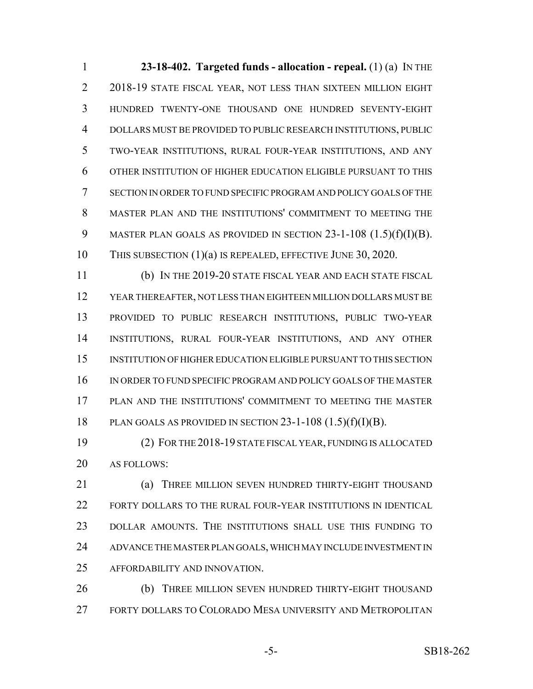**23-18-402. Targeted funds - allocation - repeal.** (1) (a) IN THE 2018-19 STATE FISCAL YEAR, NOT LESS THAN SIXTEEN MILLION EIGHT HUNDRED TWENTY-ONE THOUSAND ONE HUNDRED SEVENTY-EIGHT DOLLARS MUST BE PROVIDED TO PUBLIC RESEARCH INSTITUTIONS, PUBLIC TWO-YEAR INSTITUTIONS, RURAL FOUR-YEAR INSTITUTIONS, AND ANY OTHER INSTITUTION OF HIGHER EDUCATION ELIGIBLE PURSUANT TO THIS SECTION IN ORDER TO FUND SPECIFIC PROGRAM AND POLICY GOALS OF THE MASTER PLAN AND THE INSTITUTIONS' COMMITMENT TO MEETING THE 9 MASTER PLAN GOALS AS PROVIDED IN SECTION 23-1-108 (1.5)(f)(I)(B). THIS SUBSECTION (1)(a) IS REPEALED, EFFECTIVE JUNE 30, 2020.

 (b) IN THE 2019-20 STATE FISCAL YEAR AND EACH STATE FISCAL YEAR THEREAFTER, NOT LESS THAN EIGHTEEN MILLION DOLLARS MUST BE PROVIDED TO PUBLIC RESEARCH INSTITUTIONS, PUBLIC TWO-YEAR INSTITUTIONS, RURAL FOUR-YEAR INSTITUTIONS, AND ANY OTHER INSTITUTION OF HIGHER EDUCATION ELIGIBLE PURSUANT TO THIS SECTION IN ORDER TO FUND SPECIFIC PROGRAM AND POLICY GOALS OF THE MASTER PLAN AND THE INSTITUTIONS' COMMITMENT TO MEETING THE MASTER 18 PLAN GOALS AS PROVIDED IN SECTION  $23-1-108$   $(1.5)(f)(I)(B)$ .

 (2) FOR THE 2018-19 STATE FISCAL YEAR, FUNDING IS ALLOCATED AS FOLLOWS:

**(a) THREE MILLION SEVEN HUNDRED THIRTY-EIGHT THOUSAND**  FORTY DOLLARS TO THE RURAL FOUR-YEAR INSTITUTIONS IN IDENTICAL DOLLAR AMOUNTS. THE INSTITUTIONS SHALL USE THIS FUNDING TO ADVANCE THE MASTER PLAN GOALS, WHICH MAY INCLUDE INVESTMENT IN AFFORDABILITY AND INNOVATION.

**(b)** THREE MILLION SEVEN HUNDRED THIRTY-EIGHT THOUSAND FORTY DOLLARS TO COLORADO MESA UNIVERSITY AND METROPOLITAN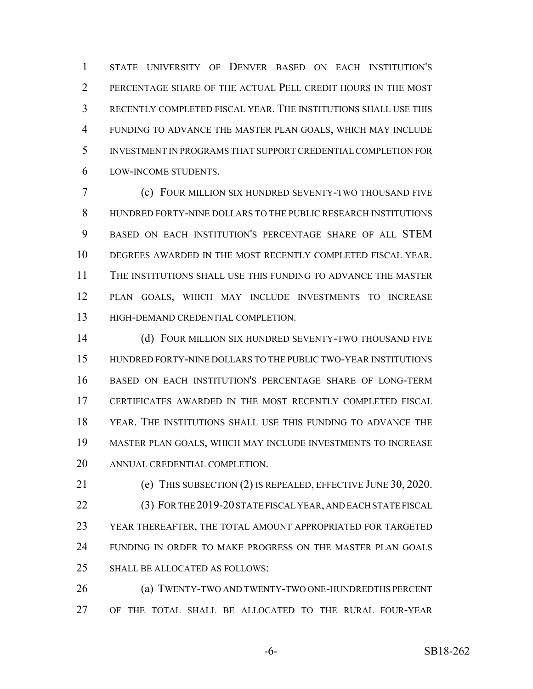STATE UNIVERSITY OF DENVER BASED ON EACH INSTITUTION'S PERCENTAGE SHARE OF THE ACTUAL PELL CREDIT HOURS IN THE MOST RECENTLY COMPLETED FISCAL YEAR. THE INSTITUTIONS SHALL USE THIS FUNDING TO ADVANCE THE MASTER PLAN GOALS, WHICH MAY INCLUDE INVESTMENT IN PROGRAMS THAT SUPPORT CREDENTIAL COMPLETION FOR LOW-INCOME STUDENTS.

 (c) FOUR MILLION SIX HUNDRED SEVENTY-TWO THOUSAND FIVE HUNDRED FORTY-NINE DOLLARS TO THE PUBLIC RESEARCH INSTITUTIONS BASED ON EACH INSTITUTION'S PERCENTAGE SHARE OF ALL STEM DEGREES AWARDED IN THE MOST RECENTLY COMPLETED FISCAL YEAR. THE INSTITUTIONS SHALL USE THIS FUNDING TO ADVANCE THE MASTER PLAN GOALS, WHICH MAY INCLUDE INVESTMENTS TO INCREASE HIGH-DEMAND CREDENTIAL COMPLETION.

 (d) FOUR MILLION SIX HUNDRED SEVENTY-TWO THOUSAND FIVE HUNDRED FORTY-NINE DOLLARS TO THE PUBLIC TWO-YEAR INSTITUTIONS BASED ON EACH INSTITUTION'S PERCENTAGE SHARE OF LONG-TERM CERTIFICATES AWARDED IN THE MOST RECENTLY COMPLETED FISCAL YEAR. THE INSTITUTIONS SHALL USE THIS FUNDING TO ADVANCE THE MASTER PLAN GOALS, WHICH MAY INCLUDE INVESTMENTS TO INCREASE ANNUAL CREDENTIAL COMPLETION.

 (e) THIS SUBSECTION (2) IS REPEALED, EFFECTIVE JUNE 30, 2020. (3) FOR THE 2019-20 STATE FISCAL YEAR, AND EACH STATE FISCAL YEAR THEREAFTER, THE TOTAL AMOUNT APPROPRIATED FOR TARGETED FUNDING IN ORDER TO MAKE PROGRESS ON THE MASTER PLAN GOALS SHALL BE ALLOCATED AS FOLLOWS:

 (a) TWENTY-TWO AND TWENTY-TWO ONE-HUNDREDTHS PERCENT OF THE TOTAL SHALL BE ALLOCATED TO THE RURAL FOUR-YEAR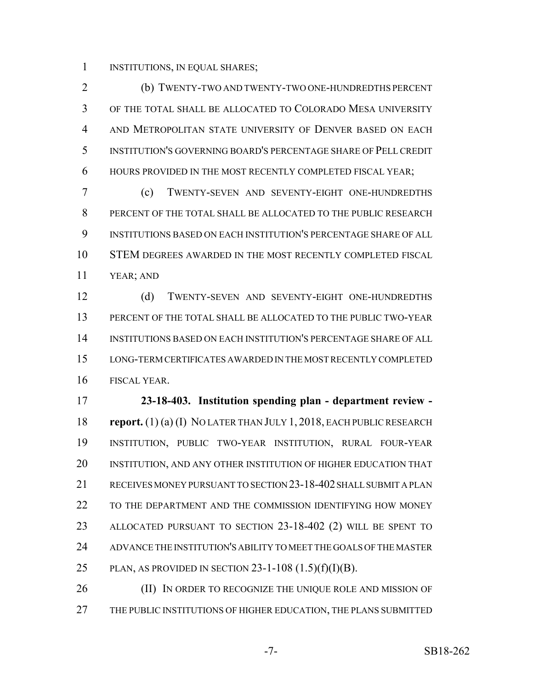INSTITUTIONS, IN EQUAL SHARES;

 (b) TWENTY-TWO AND TWENTY-TWO ONE-HUNDREDTHS PERCENT OF THE TOTAL SHALL BE ALLOCATED TO COLORADO MESA UNIVERSITY AND METROPOLITAN STATE UNIVERSITY OF DENVER BASED ON EACH INSTITUTION'S GOVERNING BOARD'S PERCENTAGE SHARE OF PELL CREDIT HOURS PROVIDED IN THE MOST RECENTLY COMPLETED FISCAL YEAR;

 (c) TWENTY-SEVEN AND SEVENTY-EIGHT ONE-HUNDREDTHS PERCENT OF THE TOTAL SHALL BE ALLOCATED TO THE PUBLIC RESEARCH INSTITUTIONS BASED ON EACH INSTITUTION'S PERCENTAGE SHARE OF ALL STEM DEGREES AWARDED IN THE MOST RECENTLY COMPLETED FISCAL YEAR; AND

 (d) TWENTY-SEVEN AND SEVENTY-EIGHT ONE-HUNDREDTHS PERCENT OF THE TOTAL SHALL BE ALLOCATED TO THE PUBLIC TWO-YEAR INSTITUTIONS BASED ON EACH INSTITUTION'S PERCENTAGE SHARE OF ALL LONG-TERM CERTIFICATES AWARDED IN THE MOST RECENTLY COMPLETED FISCAL YEAR.

 **23-18-403. Institution spending plan - department review - report.** (1) (a) (I) NO LATER THAN JULY 1, 2018, EACH PUBLIC RESEARCH INSTITUTION, PUBLIC TWO-YEAR INSTITUTION, RURAL FOUR-YEAR INSTITUTION, AND ANY OTHER INSTITUTION OF HIGHER EDUCATION THAT RECEIVES MONEY PURSUANT TO SECTION 23-18-402 SHALL SUBMIT A PLAN TO THE DEPARTMENT AND THE COMMISSION IDENTIFYING HOW MONEY ALLOCATED PURSUANT TO SECTION 23-18-402 (2) WILL BE SPENT TO ADVANCE THE INSTITUTION'S ABILITY TO MEET THE GOALS OF THE MASTER 25 PLAN, AS PROVIDED IN SECTION 23-1-108  $(1.5)(f)(I)(B)$ .

26 (II) IN ORDER TO RECOGNIZE THE UNIQUE ROLE AND MISSION OF THE PUBLIC INSTITUTIONS OF HIGHER EDUCATION, THE PLANS SUBMITTED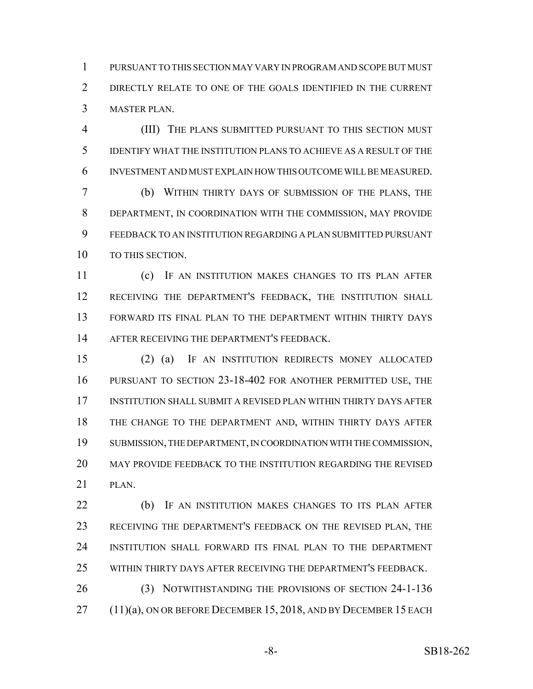PURSUANT TO THIS SECTION MAY VARY IN PROGRAM AND SCOPE BUT MUST DIRECTLY RELATE TO ONE OF THE GOALS IDENTIFIED IN THE CURRENT MASTER PLAN.

 (III) THE PLANS SUBMITTED PURSUANT TO THIS SECTION MUST IDENTIFY WHAT THE INSTITUTION PLANS TO ACHIEVE AS A RESULT OF THE INVESTMENT AND MUST EXPLAIN HOW THIS OUTCOME WILL BE MEASURED.

 (b) WITHIN THIRTY DAYS OF SUBMISSION OF THE PLANS, THE DEPARTMENT, IN COORDINATION WITH THE COMMISSION, MAY PROVIDE FEEDBACK TO AN INSTITUTION REGARDING A PLAN SUBMITTED PURSUANT 10 TO THIS SECTION.

 (c) IF AN INSTITUTION MAKES CHANGES TO ITS PLAN AFTER RECEIVING THE DEPARTMENT'S FEEDBACK, THE INSTITUTION SHALL FORWARD ITS FINAL PLAN TO THE DEPARTMENT WITHIN THIRTY DAYS AFTER RECEIVING THE DEPARTMENT'S FEEDBACK.

 (2) (a) IF AN INSTITUTION REDIRECTS MONEY ALLOCATED PURSUANT TO SECTION 23-18-402 FOR ANOTHER PERMITTED USE, THE INSTITUTION SHALL SUBMIT A REVISED PLAN WITHIN THIRTY DAYS AFTER THE CHANGE TO THE DEPARTMENT AND, WITHIN THIRTY DAYS AFTER SUBMISSION, THE DEPARTMENT, IN COORDINATION WITH THE COMMISSION, MAY PROVIDE FEEDBACK TO THE INSTITUTION REGARDING THE REVISED PLAN.

 (b) IF AN INSTITUTION MAKES CHANGES TO ITS PLAN AFTER RECEIVING THE DEPARTMENT'S FEEDBACK ON THE REVISED PLAN, THE INSTITUTION SHALL FORWARD ITS FINAL PLAN TO THE DEPARTMENT WITHIN THIRTY DAYS AFTER RECEIVING THE DEPARTMENT'S FEEDBACK.

 (3) NOTWITHSTANDING THE PROVISIONS OF SECTION 24-1-136 (11)(a), ON OR BEFORE DECEMBER 15, 2018, AND BY DECEMBER 15 EACH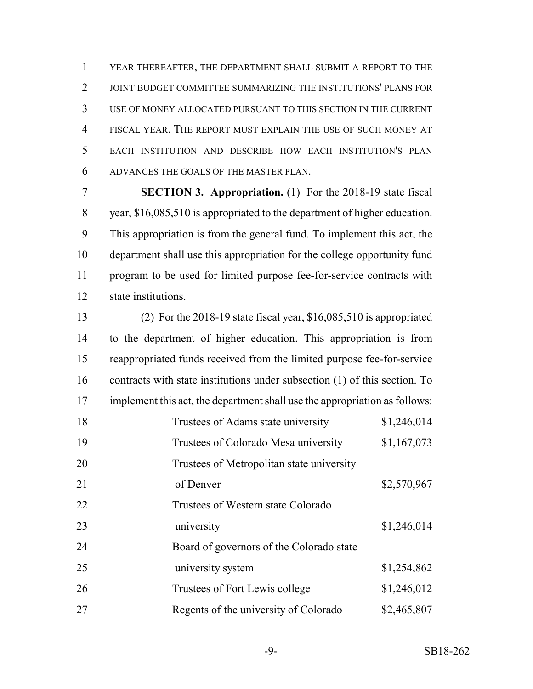YEAR THEREAFTER, THE DEPARTMENT SHALL SUBMIT A REPORT TO THE JOINT BUDGET COMMITTEE SUMMARIZING THE INSTITUTIONS' PLANS FOR USE OF MONEY ALLOCATED PURSUANT TO THIS SECTION IN THE CURRENT FISCAL YEAR. THE REPORT MUST EXPLAIN THE USE OF SUCH MONEY AT EACH INSTITUTION AND DESCRIBE HOW EACH INSTITUTION'S PLAN ADVANCES THE GOALS OF THE MASTER PLAN.

 **SECTION 3. Appropriation.** (1) For the 2018-19 state fiscal year, \$16,085,510 is appropriated to the department of higher education. This appropriation is from the general fund. To implement this act, the department shall use this appropriation for the college opportunity fund program to be used for limited purpose fee-for-service contracts with state institutions.

 (2) For the 2018-19 state fiscal year, \$16,085,510 is appropriated to the department of higher education. This appropriation is from reappropriated funds received from the limited purpose fee-for-service contracts with state institutions under subsection (1) of this section. To implement this act, the department shall use the appropriation as follows: 18 Trustees of Adams state university \$1,246,014 19 Trustees of Colorado Mesa university \$1,167,073 Trustees of Metropolitan state university 21 of Denver \$2,570,967 Trustees of Western state Colorado 23 university \$1,246,014 Board of governors of the Colorado state 25 university system \$1,254,862 26 Trustees of Fort Lewis college \$1,246,012 27 Regents of the university of Colorado \$2,465,807